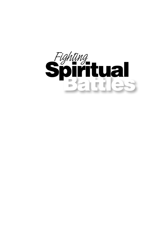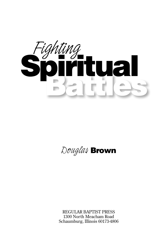

### *Douglas* **Brown**

REGULAR BAPTIST PRESS 1300 North Meacham Road Schaumburg, Illinois 60173-4806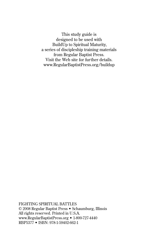This study guide is designed to be used with BuildUp to Spiritual Maturity, a series of discipleship training materials from Regular Baptist Press. Visit the Web site for further details. www.RegularBaptistPress.org/buildup

FIGHTING SPIRITUAL BATTLES © 2008 Regular Baptist Press • Schaumburg, Illinois All rights reserved. Printed in U.S.A. www.RegularBaptistPress.org • 1-800-727-4440 RBP5377 • ISBN: 978-1-59402-662-1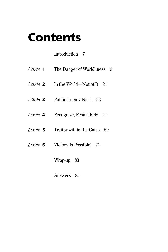## **Contents**

### Introduction 7

| $Lesson$ 1     | The Danger of Worldliness 9    |
|----------------|--------------------------------|
| $l.e$ sson $2$ | In the World—Not of It<br>- 21 |
| $l.e$ $440n$ 3 | Public Enemy No. 1<br>33       |
| Lesson 4       | Recognize, Resist, Rely 47     |
| $l$ esson $5$  | Traitor within the Gates<br>59 |
| Lesson 6       | Victory Is Possible! 71        |

- Wrap-up 83
- Answers 85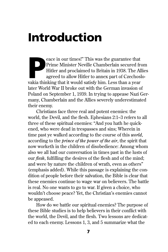# **Introduction**

eace in our times!" This was the guarantee that Prime Minister Neville Chamberlain secured from Hitler and proclaimed to Britain in 1938. The All agreed to allow Hitler to annex part of Czechosl vakia thinking that it woul Prime Minister Neville Chamberlain secured from Hitler and proclaimed to Britain in 1938. The Allies agreed to allow Hitler to annex part of Czechoslolater World War II broke out with the German invasion of Poland on September 1, 1939. In trying to appease Nazi Germany, Chamberlain and the Allies severely underestimated their enemy.

Christians face three real and potent enemies: the world, the Devil, and the flesh. Ephesians 2:1–3 refers to all three of these spiritual enemies: "And you hath he quickened, who were dead in trespasses and sins; Wherein in time past ye walked according to the course of this *world*, according to the *prince of the power of the air*, the spirit that now worketh in the children of disobedience: Among whom also we all had our conversation in times past in the lusts of our *flesh*, fulfilling the desires of the flesh and of the mind; and were by nature the children of wrath, even as others" (emphasis added). While this passage is explaining the condition of people before their salvation, the Bible is clear that these enemies continue to wage war on believers. The battle is real. No one wants to go to war. If given a choice, who wouldn't choose peace? Yet, the Christian's enemies cannot be appeased.

How do we battle our spiritual enemies? The purpose of these Bible studies is to help believers in their conflict with the world, the Devil, and the flesh. Two lessons are dedicated to each enemy. Lessons 1, 3, and 5 summarize what the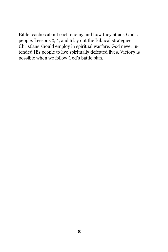Bible teaches about each enemy and how they attack God's people. Lessons 2, 4, and 6 lay out the Biblical strategies Christians should employ in spiritual warfare. God never intended His people to live spiritually defeated lives. Victory is possible when we follow God's battle plan.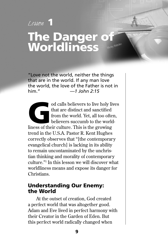### *Lesson* **1 The Danger of Worldliness**

"Love not the world, neither the things that are in the world. If any man love the world, the love of the Father is not in him." *—1 John 2:15*

od calls believers to live holy lives<br>that are distinct and sanctified<br>from the world. Yet, all too often,<br>believers succumb to the world-<br>liness of their culture. This is the growing that are distinct and sanctified from the world. Yet, all too often, believers succumb to the worldliness of their culture. This is the growing trend in the U.S.A. Pastor R. Kent Hughes correctly observes that "[the contemporary evangelical church] is lacking in its ability to remain uncontaminated by the unchristian thinking and morality of contemporary culture."1 In this lesson we will discover what worldliness means and expose its danger for Christians.

#### **Understanding Our Enemy: the World**

At the outset of creation, God created a perfect world that was altogether good. Adam and Eve lived in perfect harmony with their Creator in the Garden of Eden. But this perfect world radically changed when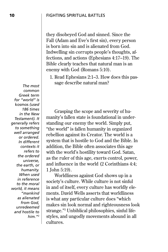they disobeyed God and sinned. Since the Fall (Adam and Eve's first sin), every person is born into sin and is alienated from God. Indwelling sin corrupts people's thoughts, affections, and actions (Ephesians 4:17–19). The Bible clearly teaches that natural man is an enemy with God (Romans 5:10).

 1. Read Ephesians 2:1–3. How does this passage describe natural man?

Grasping the scope and severity of humanity's fallen state is foundational in understanding our enemy the world. Simply put, "the world" is fallen humanity in organized rebellion against its Creator. The world is a system that is hostile to God and the Bible. In addition, the Bible often associates this age with the world's hostility toward God. Satan, as the ruler of this age, exerts control, power, and influence in the world (2 Corinthians 4:4; 1 John 5:19).

Worldliness against God shows up in a society's culture. While culture is not sinful in and of itself, every culture has worldly elements. David Wells asserts that worldliness is what any particular culture does "which makes sin look normal and righteousness look strange."3 Unbiblical philosophies, sinful lifestyles, and ungodly movements abound in all cultures.

*The most common Greek term for "world" is*  kosmos *(used 186 times in the New Testament). It generally refers to something well arranged or ordered. In different contexts it refers to the ordered universe, the earth, or humanity. When used in reference to the moral world, it means "mankind as alienated from God, unredeemed and hostile to him."*2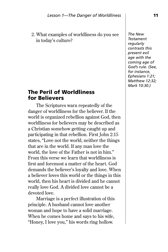2. What examples of worldliness do you see in today's culture?

#### **The Peril of Worldliness for Believers**

The Scriptures warn repeatedly of the danger of worldliness for the believer. If the world is organized rebellion against God, then worldliness for believers may be described as a Christian somehow getting caught up and participating in that rebellion. First John 2:15 states, "Love not the world, neither the things that are in the world. If any man love the world, the love of the Father is not in him." From this verse we learn that worldliness is first and foremost a matter of the heart. God demands the believer's loyalty and love. When a believer loves this world or the things in this world, then his heart is divided and he cannot really love God. A divided love cannot be a devoted love.

Marriage is a perfect illustration of this principle. A husband cannot love another woman and hope to have a solid marriage. When he comes home and says to his wife, "Honey, I love you," his words ring hollow.

*The New Testament regularly contrasts this present evil age with the coming age of God's rule. (See, for instance, Ephesians 1:21; Matthew 12:32; Mark 10:30.)*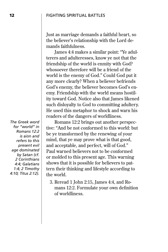Just as marriage demands a faithful heart, so the believer's relationship with the Lord demands faithfulness.

James 4:4 makes a similar point: "Ye adulterers and adulteresses, know ye not that the friendship of the world is enmity with God? whosoever therefore will be a friend of the world is the enemy of God." Could God put it any more clearly? When a believer befriends God's enemy, the believer becomes God's enemy. Friendship with the world means hostility toward God. Notice also that James likened such disloyalty to God to committing adultery. He used this metaphor to shock and warn his readers of the dangers of worldliness.

Romans 12:2 brings out another perspective: "And be not conformed to this world: but be ye transformed by the renewing of your mind, that ye may prove what is that good, and acceptable, and perfect, will of God." Paul warned believers not to be conformed or molded to this present age. This warning shows that it is possible for believers to pattern their thinking and lifestyle according to the world.

 3. Reread 1 John 2:15, James 4:4, and Romans 12:2. Formulate your own definition of worldliness.

*The Greek word for "world" in Romans 12:2 is* aiōn *and refers to this present evil age dominated by Satan (cf. 2 Corinthians 4:4; Galatians 1:4; 2 Timothy 4:10; Titus 2:12).*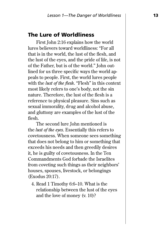#### **The Lure of Worldliness**

First John 2:16 explains how the world lures believers toward worldliness: "For all that is in the world, the lust of the flesh, and the lust of the eyes, and the pride of life, is not of the Father, but is of the world." John outlined for us three specific ways the world appeals to people. First, the world lures people with the *lust of the flesh*. "Flesh" in this context most likely refers to one's body, not the sin nature. Therefore, the lust of the flesh is a reference to physical pleasure. Sins such as sexual immorality, drug and alcohol abuse, and gluttony are examples of the lust of the flesh.

The second lure John mentioned is the *lust of the eyes*. Essentially this refers to covetousness. When someone sees something that does not belong to him or something that exceeds his needs and then greedily desires it, he is guilty of covetousness. In the Ten Commandments God forbade the Israelites from coveting such things as their neighbors' houses, spouses, livestock, or belongings (Exodus 20:17).

 4. Read 1 Timothy 6:6–10. What is the relationship between the lust of the eyes and the love of money (v. 10)?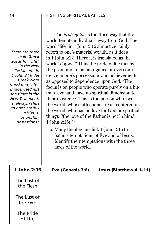#### **14** FIGHTING SPIRITUAL BATTLES

*There are three main Greek words for "life" in the New Testament. In 1 John 2:16 the Greek word translated "life" is* bios*, used just ten times in the New Testament. It always refers to one's earthly existence or worldly possessions.*4

The *pride of life* is the third way that the world tempts individuals away from God. The word "life" in 1 John 2:16 almost certainly refers to one's material wealth, as it does in 1 John 3:17. There it is translated as the world's "good." Thus the pride of life means the promotion of an arrogance or overconfidence in one's possessions and achievements as opposed to dependence upon God. "The focus is on people who operate purely on a human level and have no spiritual dimension to their existence. This is the person who loves the world, whose affections are all centered on the world, who has no love for God or spiritual things ('the love of the Father is not in him,' 1 John 2:15)."5

 5. Many theologians link 1 John 2:16 to Satan's temptations of Eve and of Jesus. Identify their temptations with the three lures of the world.

| 1 John 2:16              | Eve (Genesis 3:6) | Jesus (Matthew 4:1-11) |
|--------------------------|-------------------|------------------------|
| The Lust of<br>the Flesh |                   |                        |
| The Lust of<br>the Eyes  |                   |                        |
| The Pride<br>of Life     |                   |                        |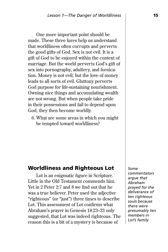One more important point should be made. These three lures help us understand that worldliness often corrupts and perverts the good gifts of God. Sex is not evil. It is a gift of God to be enjoyed within the context of marriage. But the world perverts God's gift of sex into pornography, adultery, and fornication. Money is not evil; but the love of money leads to all sorts of evil. Gluttony perverts God purpose for life-sustaining nourishment. Owning nice things and accumulating wealth are not wrong. But when people take pride in their possessions and fail to depend upon God, they then become worldly.

 6. What are some areas in which you might be tempted toward worldliness?

#### **Worldliness and Righteous Lot**

Lot is an enigmatic figure in Scripture. Little in the Old Testament commends him. Yet in 2 Peter 2:7 and 8 we find out that he was a true believer. Peter used the adjective "righteous" (or "just") three times to describe Lot. This assessment of Lot confirms what Abraham's prayer in Genesis 18:23–33 only suggested, that Lot was indeed righteous. The reason this is a bit of a mystery is because of

*Some commentators argue that Abraham prayed for the deliverance of ten righteous souls because there were presumably ten members in Lot's family.*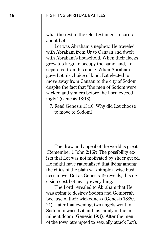what the rest of the Old Testament records about Lot.

Lot was Abraham's nephew. He traveled with Abraham from Ur to Canaan and dwelt with Abraham's household. When their flocks grew too large to occupy the same land, Lot separated from his uncle. When Abraham gave Lot his choice of land, Lot elected to move away from Canaan to the city of Sodom despite the fact that "the men of Sodom were wicked and sinners before the Lord exceedingly" (Genesis 13:13).

 7. Read Genesis 13:10. Why did Lot choose to move to Sodom?

The draw and appeal of the world is great. (Remember 1 John 2:16?) The possibility exists that Lot was not motivated by sheer greed. He might have rationalized that living among the cities of the plain was simply a wise business move. But as Genesis 19 reveals, this decision cost Lot nearly everything.

The Lord revealed to Abraham that He was going to destroy Sodom and Gomorrah because of their wickedness (Genesis 18:20, 21). Later that evening, two angels went to Sodom to warn Lot and his family of the imminent doom (Genesis 19:1). After the men of the town attempted to sexually attack Lot's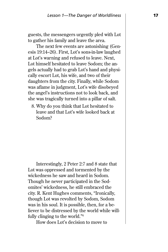guests, the messengers urgently pled with Lot to gather his family and leave the area.

The next few events are astonishing (Genesis 19:14–26). First, Lot's sons-in-law laughed at Lot's warning and refused to leave. Next, Lot himself hesitated to leave Sodom; the angels actually had to grab Lot's hand and physically escort Lot, his wife, and two of their daughters from the city. Finally, while Sodom was aflame in judgment, Lot's wife disobeyed the angel's instructions not to look back, and she was tragically turned into a pillar of salt.

 8. Why do you think that Lot hesitated to leave and that Lot's wife looked back at Sodom?

Interestingly, 2 Peter 2:7 and 8 state that Lot was oppressed and tormented by the wickedness he saw and heard in Sodom. Though he never participated in the Sodomites' wickedness, he still embraced the city. R. Kent Hughes comments, "Ironically, though Lot was revolted by Sodom, Sodom was in his soul. It is possible, then, for a believer to be distressed by the world while willfully clinging to the world."6

How does Lot's decision to move to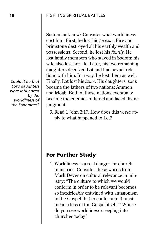Sodom look now? Consider what worldliness cost him. First, he lost his *fortune*. Fire and brimstone destroyed all his earthly wealth and possessions. Second, he lost his *family*. He lost family members who stayed in Sodom; his wife also lost her life. Later, his two remaining daughters deceived Lot and had sexual relations with him. In a way, he lost them as well. Finally, Lot lost his *fame*. His daughters' sons became the fathers of two nations: Ammon and Moab. Both of these nations eventually became the enemies of Israel and faced divine judgment.

 9. Read 1 John 2:17. How does this verse apply to what happened to Lot?

#### **For Further Study**

 1. Worldliness is a real danger for church ministries. Consider these words from Mark Dever on cultural relevance in ministry: "The culture to which we would conform in order to be relevant becomes so inextricably entwined with antagonism to the Gospel that to conform to it must mean a loss of the Gospel itself."7 Where do you see worldliness creeping into churches today?

*Could it be that Lot's daughters were infl uenced by the worldliness of the Sodomites?*